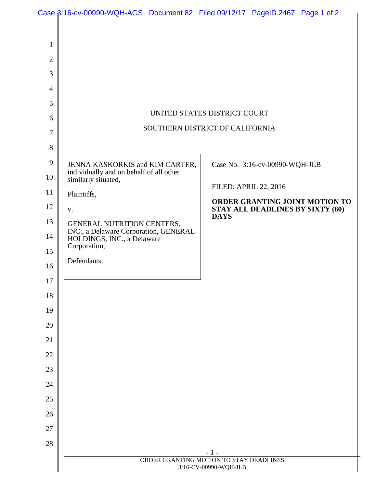|                                                                  | Case $\beta$ :16-cv-00990-WQH-AGS Document 82 Filed 09/12/17 PageID.2467 Page 1 of 2 |  |             |                                  |                                |
|------------------------------------------------------------------|--------------------------------------------------------------------------------------|--|-------------|----------------------------------|--------------------------------|
|                                                                  |                                                                                      |  |             |                                  |                                |
| $\mathbf{1}$                                                     |                                                                                      |  |             |                                  |                                |
| $\mathbf{2}$                                                     |                                                                                      |  |             |                                  |                                |
| 3                                                                |                                                                                      |  |             |                                  |                                |
| $\overline{4}$                                                   |                                                                                      |  |             |                                  |                                |
| 5                                                                |                                                                                      |  |             |                                  |                                |
| 6                                                                | UNITED STATES DISTRICT COURT                                                         |  |             |                                  |                                |
| $\tau$                                                           | SOUTHERN DISTRICT OF CALIFORNIA                                                      |  |             |                                  |                                |
| 8                                                                |                                                                                      |  |             |                                  |                                |
| 9                                                                | JENNA KASKORKIS and KIM CARTER,                                                      |  |             | Case No. 3:16-cv-00990-WQH-JLB   |                                |
| 10                                                               | individually and on behalf of all other<br>similarly situated,                       |  |             | <b>FILED: APRIL 22, 2016</b>     |                                |
| 11                                                               | Plaintiffs,                                                                          |  |             |                                  | ORDER GRANTING JOINT MOTION TO |
| 12                                                               | V.                                                                                   |  | <b>DAYS</b> | STAY ALL DEADLINES BY SIXTY (60) |                                |
| 13                                                               | GENERAL NUTRITION CENTERS,<br>INC., a Delaware Corporation, GENERAL                  |  |             |                                  |                                |
| 14                                                               | HOLDINGS, INC., a Delaware<br>Corporation,                                           |  |             |                                  |                                |
| 15                                                               | Defendants.                                                                          |  |             |                                  |                                |
| 16                                                               |                                                                                      |  |             |                                  |                                |
| 17                                                               |                                                                                      |  |             |                                  |                                |
| 18                                                               |                                                                                      |  |             |                                  |                                |
| 19                                                               |                                                                                      |  |             |                                  |                                |
| 20                                                               |                                                                                      |  |             |                                  |                                |
| 21                                                               |                                                                                      |  |             |                                  |                                |
| 22                                                               |                                                                                      |  |             |                                  |                                |
| 23                                                               |                                                                                      |  |             |                                  |                                |
| 24                                                               |                                                                                      |  |             |                                  |                                |
| 25                                                               |                                                                                      |  |             |                                  |                                |
| 26                                                               |                                                                                      |  |             |                                  |                                |
| 27                                                               |                                                                                      |  |             |                                  |                                |
| 28                                                               |                                                                                      |  | - 1 -       |                                  |                                |
| ORDER GRANTING MOTION TO STAY DEADLINES<br>3:16-CV-00990-WQH-JLB |                                                                                      |  |             |                                  |                                |